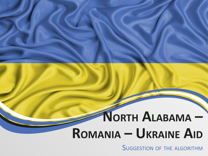# NORTH ALABAMA -ROMANIA - UKRAINE AID

**SUGGESTION OF THE ALGORITHM**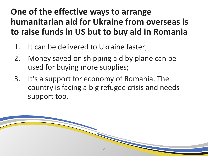### **One of the effective ways to arrange humanitarian aid for Ukraine from overseas is to raise funds in US but to buy aid in Romania**

- 1. It can be delivered to Ukraine faster;
- 2. Money saved on shipping aid by plane can be used for buying more supplies;
- 3. It's a support for economy of Romania. The country is facing a big refugee crisis and needs support too.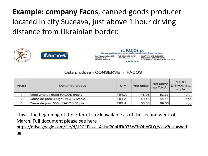**Example: company Facos**, canned goods producer located in city Suceava, just above 1 hour driving distance from Ukrainian border.



**SC FACOS SA** Canned goods factory, meat products and smoked meat products Str. Humorului nr. 100 Tel: 0040 230 526525 J33/17/1991 VAT: Ro714123 727525 Scheia office@facos.ro **RAIFFEISEN BANK SUCEAVA** IBAN: RO87 RZBR 0000 0600 2117 2278 Suceava, România www.facos.ro

#### Lista produse - CONSERVE - FACOS

| Nr.crt | Denumire produs                   | U.M.         | Pret unitar | Pret unitar<br>cu T.V.A | <b>STOC</b><br><b>DISPONIBIL</b><br>- tipla |
|--------|-----------------------------------|--------------|-------------|-------------------------|---------------------------------------------|
|        | Ardei umpluti 500g FACOS 6/tipla  | TIPLA        | 48.96       | 53.37                   | 250                                         |
|        | Carne de porc 300gr FACOS 6/tipla | <b>TIPLA</b> | 40.46       | 44.11                   | 350                                         |
| 3      | Carne de porc 500g FACOS 6/tipla  | TIPLA        | 63.36       | 69.06                   | 400                                         |

This is the beginning of the offer of stock available as of the second week of March. Full document please see here

[https://drive.google.com/file/d/1PG1Enxx-14akufB0pUEkD75W3rOHpGLQ/view?usp=shari](https://drive.google.com/file/d/1PG1Enxx-14akufB0pUEkD75W3rOHpGLQ/view?usp=sharing) [ng](https://drive.google.com/file/d/1PG1Enxx-14akufB0pUEkD75W3rOHpGLQ/view?usp=sharing)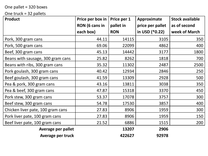#### One pallet = 320 boxes

One truck = 32 pallets

| <b>Product</b>                    | Price per box in | Price per 1 | Approximate      | <b>Stock available</b> |
|-----------------------------------|------------------|-------------|------------------|------------------------|
|                                   | RON (6 cans in   | pallet in   | price per pallet | as of second           |
|                                   | each box)        | <b>RON</b>  | in USD (*0.22)   | week of March          |
| Pork, 300 gram cans               | 44.11            | 14115       | 3105             | 350                    |
| Pork, 500 gram cans               | 69.06            | 22099       | 4862             | 400                    |
| Beef, 300 gram cans               | 45.13            | 14442       | 3177             | 1800                   |
| Beans with sausage, 300 gram cans | 25.82            | 8262        | 1818             | 700                    |
| Beans with ribs, 300 gram cans    | 35.32            | 11302       | 2487             | 2500                   |
| Pork goulash, 300 gram cans       | 40.42            | 12934       | 2846             | 250                    |
| Beef goulash, 300 gram cans       | 41.59            | 13309       | 2928             | 500                    |
| Pea & pork, 300 gram cans         | 43.16            | 13811       | 3038             | 350                    |
| Pea & beef, 300 gram cans         | 47.87            | 15318       | 3370             | 450                    |
| Pork stew, 300 gram cans          | 53.37            | 17078       | 3757             | 300                    |
| Beef stew, 300 gram cans          | 54.78            | 17530       | 3857             | 400                    |
| Chicken liver pate, 100 gram cans | 27.83            | 8906        | 1959             | 300                    |
| Pork liver pate, 100 gram cans    | 27.83            | 8906        | 1959             | 150                    |
| Beef liver pate, 100 gram cans    | 21.52            | 6886        | 1515             | 200                    |
| Average per pallet                |                  | 13207       | 2906             |                        |
| Average per truck                 |                  | 422627      | 92978            |                        |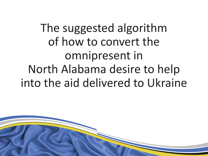The suggested algorithm of how to convert the omnipresent in North Alabama desire to help into the aid delivered to Ukraine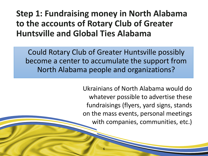#### **Step 1: Fundraising money in North Alabama to the accounts of Rotary Club of Greater Huntsville and Global Ties Alabama**

 Could Rotary Club of Greater Huntsville possibly become a center to accumulate the support from North Alabama people and organizations?

6

Ukrainians of North Alabama would do whatever possible to advertise these fundraisings (flyers, yard signs, stands on the mass events, personal meetings with companies, communities, etc.)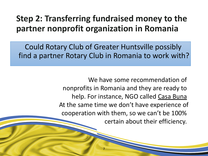#### **Step 2: Transferring fundraised money to the partner nonprofit organization in Romania**

 Could Rotary Club of Greater Huntsville possibly find a partner Rotary Club in Romania to work with?

7

We have some recommendation of nonprofits in Romania and they are ready to help. For instance, NGO called [Casa Buna](https://asociatiacasabuna.ro/) At the same time we don't have experience of cooperation with them, so we can't be 100% certain about their efficiency.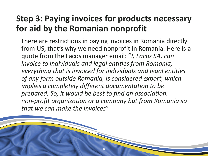#### **Step 3: Paying invoices for products necessary for aid by the Romanian nonprofit**

 There are restrictions in paying invoices in Romania directly from US, that's why we need nonprofit in Romania. Here is a quote from the Facos manager email: "*I, Facos SA, can invoice to individuals and legal entities from Romania, everything that is invoiced for individuals and legal entities of any form outside Romania, is considered export, which implies a completely different documentation to be prepared. So, it would be best to find an association, non-profit organization or a company but from Romania so that we can make the invoices*"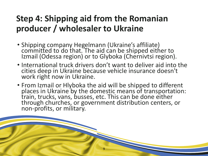### **Step 4: Shipping aid from the Romanian producer / wholesaler to Ukraine**

- Shipping company Hegelmann (Ukraine's affiliate) committed to do that. The aid can be shipped either to Izmail (Odessa region) or to Glyboka (Chernivtsi region).
- International truck drivers don't want to deliver aid into the cities deep in Ukraine because vehicle insurance doesn't work right now in Ukraine.
- From Izmail or Hlyboka the aid will be shipped to different places in Ukraine by the domestic means of transportation: train, trucks, vans, busses, etc. This can be done either through churches, or government distribution centers, or non-profits, or military.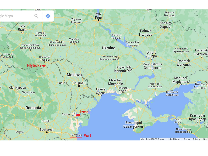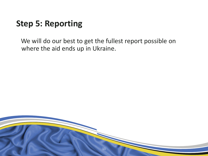#### **Step 5: Reporting**

 We will do our best to get the fullest report possible on where the aid ends up in Ukraine.